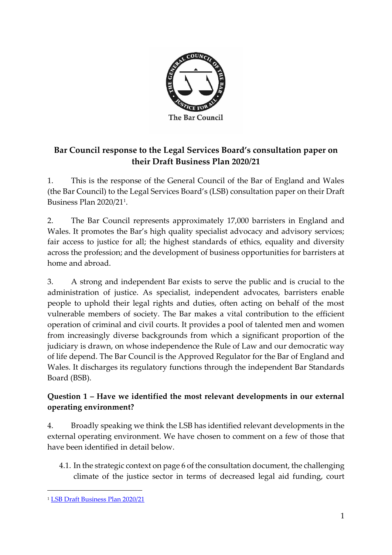

# **Bar Council response to the Legal Services Board's consultation paper on their Draft Business Plan 2020/21**

1. This is the response of the General Council of the Bar of England and Wales (the Bar Council) to the Legal Services Board's (LSB) consultation paper on their Draft Business Plan 2020/21<sup>1</sup> .

2. The Bar Council represents approximately 17,000 barristers in England and Wales. It promotes the Bar's high quality specialist advocacy and advisory services; fair access to justice for all; the highest standards of ethics, equality and diversity across the profession; and the development of business opportunities for barristers at home and abroad.

3. A strong and independent Bar exists to serve the public and is crucial to the administration of justice. As specialist, independent advocates, barristers enable people to uphold their legal rights and duties, often acting on behalf of the most vulnerable members of society. The Bar makes a vital contribution to the efficient operation of criminal and civil courts. It provides a pool of talented men and women from increasingly diverse backgrounds from which a significant proportion of the judiciary is drawn, on whose independence the Rule of Law and our democratic way of life depend. The Bar Council is the Approved Regulator for the Bar of England and Wales. It discharges its regulatory functions through the independent Bar Standards Board (BSB).

### **Question 1 – Have we identified the most relevant developments in our external operating environment?**

4. Broadly speaking we think the LSB has identified relevant developments in the external operating environment. We have chosen to comment on a few of those that have been identified in detail below.

4.1. In the strategic context on page 6 of the consultation document, the challenging climate of the justice sector in terms of decreased legal aid funding, court

<sup>1</sup> [LSB Draft Business Plan 2020/21](https://www.legalservicesboard.org.uk/wp-content/uploads/2019/12/Draft-Business-Plan-for-consultation.pdf)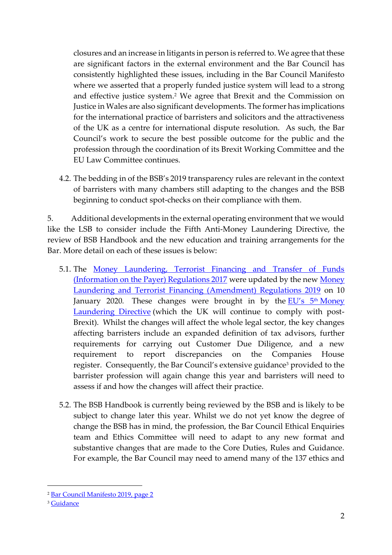closures and an increase in litigants in person is referred to. We agree that these are significant factors in the external environment and the Bar Council has consistently highlighted these issues, including in the Bar Council Manifesto where we asserted that a properly funded justice system will lead to a strong and effective justice system.<sup>2</sup> We agree that Brexit and the Commission on Justice in Wales are also significant developments. The former has implications for the international practice of barristers and solicitors and the attractiveness of the UK as a centre for international dispute resolution. As such, the Bar Council's work to secure the best possible outcome for the public and the profession through the coordination of its Brexit Working Committee and the EU Law Committee continues.

4.2. The bedding in of the BSB's 2019 transparency rules are relevant in the context of barristers with many chambers still adapting to the changes and the BSB beginning to conduct spot-checks on their compliance with them.

5. Additional developments in the external operating environment that we would like the LSB to consider include the Fifth Anti-Money Laundering Directive, the review of BSB Handbook and the new education and training arrangements for the Bar. More detail on each of these issues is below:

- 5.1. The [Money Laundering, Terrorist Financing and Transfer of Funds](http://www.legislation.gov.uk/uksi/2017/692/contents/made)  [\(Information on the Payer\) Regulations 2017](http://www.legislation.gov.uk/uksi/2017/692/contents/made) were updated by the new [Money](http://www.legislation.gov.uk/uksi/2019/1511/contents/made)  [Laundering and Terrorist Financing \(Amendment\) Regulations 2019](http://www.legislation.gov.uk/uksi/2019/1511/contents/made) on 10 January 2020. These changes were brought in by the EU's 5<sup>th</sup> Money [Laundering Directive](https://eur-lex.europa.eu/legal-content/EN/TXT/?uri=CELEX:32018L0843) (which the UK will continue to comply with post-Brexit). Whilst the changes will affect the whole legal sector, the key changes affecting barristers include an expanded definition of tax advisors, further requirements for carrying out Customer Due Diligence, and a new requirement to report discrepancies on the Companies House register. Consequently, the Bar Council's extensive guidance<sup>3</sup> provided to the barrister profession will again change this year and barristers will need to assess if and how the changes will affect their practice.
- 5.2. The BSB Handbook is currently being reviewed by the BSB and is likely to be subject to change later this year. Whilst we do not yet know the degree of change the BSB has in mind, the profession, the Bar Council Ethical Enquiries team and Ethics Committee will need to adapt to any new format and substantive changes that are made to the Core Duties, Rules and Guidance. For example, the Bar Council may need to amend many of the 137 ethics and

<sup>2</sup> [Bar Council Manifesto 2019, page 2](https://www.barcouncil.org.uk/uploads/assets/c0b58ad3-c792-4b14-86902111af03eeb0/Bar-Council-Manifesto-2019.pdf)

<sup>&</sup>lt;sup>3</sup> [Guidance](https://www.barcouncilethics.co.uk/wp-content/uploads/2017/10/Money-Laundering-and-Terrorist-Financing-updated-20182.pdf)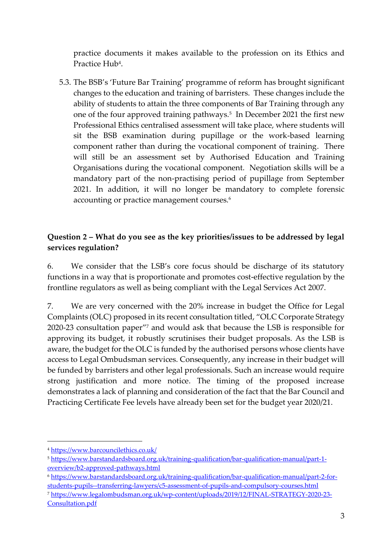practice documents it makes available to the profession on its Ethics and Practice Hub<sup>4</sup>.

5.3. The BSB's 'Future Bar Training' programme of reform has brought significant changes to the education and training of barristers. These changes include the ability of students to attain the three components of Bar Training through any one of the four approved training pathways.<sup>5</sup> In December 2021 the first new Professional Ethics centralised assessment will take place, where students will sit the BSB examination during pupillage or the work-based learning component rather than during the vocational component of training. There will still be an assessment set by Authorised Education and Training Organisations during the vocational component. Negotiation skills will be a mandatory part of the non-practising period of pupillage from September 2021. In addition, it will no longer be mandatory to complete forensic accounting or practice management courses.<sup>6</sup>

#### **Question 2 – What do you see as the key priorities/issues to be addressed by legal services regulation?**

6. We consider that the LSB's core focus should be discharge of its statutory functions in a way that is proportionate and promotes cost-effective regulation by the frontline regulators as well as being compliant with the Legal Services Act 2007.

7. We are very concerned with the 20% increase in budget the Office for Legal Complaints (OLC) proposed in its recent consultation titled, "OLC Corporate Strategy 2020-23 consultation paper" <sup>7</sup> and would ask that because the LSB is responsible for approving its budget, it robustly scrutinises their budget proposals. As the LSB is aware, the budget for the OLC is funded by the authorised persons whose clients have access to Legal Ombudsman services. Consequently, any increase in their budget will be funded by barristers and other legal professionals. Such an increase would require strong justification and more notice. The timing of the proposed increase demonstrates a lack of planning and consideration of the fact that the Bar Council and Practicing Certificate Fee levels have already been set for the budget year 2020/21.

<sup>4</sup> <https://www.barcouncilethics.co.uk/>

<sup>5</sup> [https://www.barstandardsboard.org.uk/training-qualification/bar-qualification-manual/part-1](https://www.barstandardsboard.org.uk/training-qualification/bar-qualification-manual/part-1-overview/b2-approved-pathways.html) [overview/b2-approved-pathways.html](https://www.barstandardsboard.org.uk/training-qualification/bar-qualification-manual/part-1-overview/b2-approved-pathways.html)

<sup>6</sup> [https://www.barstandardsboard.org.uk/training-qualification/bar-qualification-manual/part-2-for](https://www.barstandardsboard.org.uk/training-qualification/bar-qualification-manual/part-2-for-students-pupils--transferring-lawyers/c5-assessment-of-pupils-and-compulsory-courses.html)[students-pupils--transferring-lawyers/c5-assessment-of-pupils-and-compulsory-courses.html](https://www.barstandardsboard.org.uk/training-qualification/bar-qualification-manual/part-2-for-students-pupils--transferring-lawyers/c5-assessment-of-pupils-and-compulsory-courses.html)

<sup>7</sup> [https://www.legalombudsman.org.uk/wp-content/uploads/2019/12/FINAL-STRATEGY-2020-23-](https://www.legalombudsman.org.uk/wp-content/uploads/2019/12/FINAL-STRATEGY-2020-23-Consultation.pdf) [Consultation.pdf](https://www.legalombudsman.org.uk/wp-content/uploads/2019/12/FINAL-STRATEGY-2020-23-Consultation.pdf)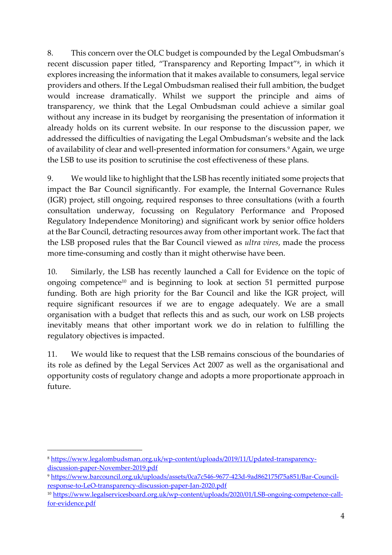8. This concern over the OLC budget is compounded by the Legal Ombudsman's recent discussion paper titled, "Transparency and Reporting Impact"<sup>8</sup> , in which it explores increasing the information that it makes available to consumers, legal service providers and others. If the Legal Ombudsman realised their full ambition, the budget would increase dramatically. Whilst we support the principle and aims of transparency, we think that the Legal Ombudsman could achieve a similar goal without any increase in its budget by reorganising the presentation of information it already holds on its current website. In our response to the discussion paper, we addressed the difficulties of navigating the Legal Ombudsman's website and the lack of availability of clear and well-presented information for consumers.<sup>9</sup> Again, we urge the LSB to use its position to scrutinise the cost effectiveness of these plans.

9. We would like to highlight that the LSB has recently initiated some projects that impact the Bar Council significantly. For example, the Internal Governance Rules (IGR) project, still ongoing, required responses to three consultations (with a fourth consultation underway, focussing on Regulatory Performance and Proposed Regulatory Independence Monitoring) and significant work by senior office holders at the Bar Council, detracting resources away from other important work. The fact that the LSB proposed rules that the Bar Council viewed as *ultra vires*, made the process more time-consuming and costly than it might otherwise have been.

10. Similarly, the LSB has recently launched a Call for Evidence on the topic of ongoing competence<sup>10</sup> and is beginning to look at section 51 permitted purpose funding. Both are high priority for the Bar Council and like the IGR project, will require significant resources if we are to engage adequately. We are a small organisation with a budget that reflects this and as such, our work on LSB projects inevitably means that other important work we do in relation to fulfilling the regulatory objectives is impacted.

11. We would like to request that the LSB remains conscious of the boundaries of its role as defined by the Legal Services Act 2007 as well as the organisational and opportunity costs of regulatory change and adopts a more proportionate approach in future.

<sup>8</sup> [https://www.legalombudsman.org.uk/wp-content/uploads/2019/11/Updated-transparency](https://www.legalombudsman.org.uk/wp-content/uploads/2019/11/Updated-transparency-discussion-paper-November-2019.pdf)[discussion-paper-November-2019.pdf](https://www.legalombudsman.org.uk/wp-content/uploads/2019/11/Updated-transparency-discussion-paper-November-2019.pdf)

<sup>9</sup> [https://www.barcouncil.org.uk/uploads/assets/0ca7c546-9677-423d-9ad862175f75a851/Bar-Council](https://www.barcouncil.org.uk/uploads/assets/0ca7c546-9677-423d-9ad862175f75a851/Bar-Council-response-to-LeO-transparency-discussion-paper-Jan-2020.pdf)[response-to-LeO-transparency-discussion-paper-Jan-2020.pdf](https://www.barcouncil.org.uk/uploads/assets/0ca7c546-9677-423d-9ad862175f75a851/Bar-Council-response-to-LeO-transparency-discussion-paper-Jan-2020.pdf)

<sup>10</sup> [https://www.legalservicesboard.org.uk/wp-content/uploads/2020/01/LSB-ongoing-competence-call](https://www.legalservicesboard.org.uk/wp-content/uploads/2020/01/LSB-ongoing-competence-call-for-evidence.pdf)[for-evidence.pdf](https://www.legalservicesboard.org.uk/wp-content/uploads/2020/01/LSB-ongoing-competence-call-for-evidence.pdf)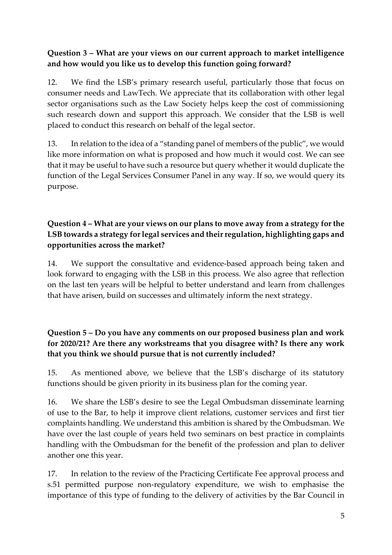#### **Question 3 – What are your views on our current approach to market intelligence and how would you like us to develop this function going forward?**

12. We find the LSB's primary research useful, particularly those that focus on consumer needs and LawTech. We appreciate that its collaboration with other legal sector organisations such as the Law Society helps keep the cost of commissioning such research down and support this approach. We consider that the LSB is well placed to conduct this research on behalf of the legal sector.

13. In relation to the idea of a "standing panel of members of the public", we would like more information on what is proposed and how much it would cost. We can see that it may be useful to have such a resource but query whether it would duplicate the function of the Legal Services Consumer Panel in any way. If so, we would query its purpose.

### **Question 4 – What are your views on our plans to move away from a strategy for the LSB towards a strategy for legal services and their regulation, highlighting gaps and opportunities across the market?**

14. We support the consultative and evidence-based approach being taken and look forward to engaging with the LSB in this process. We also agree that reflection on the last ten years will be helpful to better understand and learn from challenges that have arisen, build on successes and ultimately inform the next strategy.

### **Question 5 – Do you have any comments on our proposed business plan and work for 2020/21? Are there any workstreams that you disagree with? Is there any work that you think we should pursue that is not currently included?**

15. As mentioned above, we believe that the LSB's discharge of its statutory functions should be given priority in its business plan for the coming year.

16. We share the LSB's desire to see the Legal Ombudsman disseminate learning of use to the Bar, to help it improve client relations, customer services and first tier complaints handling. We understand this ambition is shared by the Ombudsman. We have over the last couple of years held two seminars on best practice in complaints handling with the Ombudsman for the benefit of the profession and plan to deliver another one this year.

17. In relation to the review of the Practicing Certificate Fee approval process and s.51 permitted purpose non-regulatory expenditure, we wish to emphasise the importance of this type of funding to the delivery of activities by the Bar Council in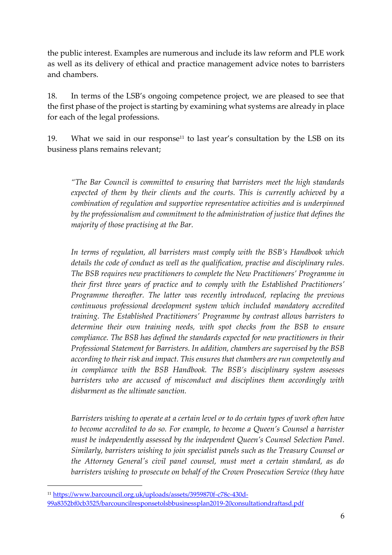the public interest. Examples are numerous and include its law reform and PLE work as well as its delivery of ethical and practice management advice notes to barristers and chambers.

18. In terms of the LSB's ongoing competence project, we are pleased to see that the first phase of the project is starting by examining what systems are already in place for each of the legal professions.

19. What we said in our response<sup>11</sup> to last year's consultation by the LSB on its business plans remains relevant;

*"The Bar Council is committed to ensuring that barristers meet the high standards expected of them by their clients and the courts. This is currently achieved by a combination of regulation and supportive representative activities and is underpinned by the professionalism and commitment to the administration of justice that defines the majority of those practising at the Bar.* 

*In terms of regulation, all barristers must comply with the BSB's Handbook which details the code of conduct as well as the qualification, practise and disciplinary rules. The BSB requires new practitioners to complete the New Practitioners' Programme in their first three years of practice and to comply with the Established Practitioners' Programme thereafter. The latter was recently introduced, replacing the previous continuous professional development system which included mandatory accredited training. The Established Practitioners' Programme by contrast allows barristers to determine their own training needs, with spot checks from the BSB to ensure compliance. The BSB has defined the standards expected for new practitioners in their Professional Statement for Barristers. In addition, chambers are supervised by the BSB according to their risk and impact. This ensures that chambers are run competently and in compliance with the BSB Handbook. The BSB's disciplinary system assesses barristers who are accused of misconduct and disciplines them accordingly with disbarment as the ultimate sanction.* 

*Barristers wishing to operate at a certain level or to do certain types of work often have to become accredited to do so. For example, to become a Queen's Counsel a barrister must be independently assessed by the independent Queen's Counsel Selection Panel. Similarly, barristers wishing to join specialist panels such as the Treasury Counsel or the Attorney General's civil panel counsel, must meet a certain standard, as do barristers wishing to prosecute on behalf of the Crown Prosecution Service (they have* 

<sup>11</sup> [https://www.barcouncil.org.uk/uploads/assets/3959870f-c78c-430d-](https://www.barcouncil.org.uk/uploads/assets/3959870f-c78c-430d-99a8352bf0cb3525/barcouncilresponsetolsbbusinessplan2019-20consultationdraftasd.pdf)[99a8352bf0cb3525/barcouncilresponsetolsbbusinessplan2019-20consultationdraftasd.pdf](https://www.barcouncil.org.uk/uploads/assets/3959870f-c78c-430d-99a8352bf0cb3525/barcouncilresponsetolsbbusinessplan2019-20consultationdraftasd.pdf)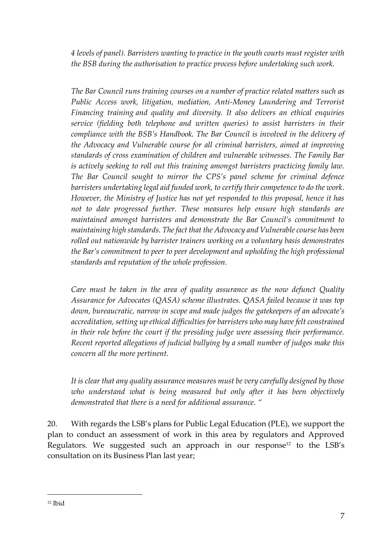*4 levels of panel). Barristers wanting to practice in the youth courts must register with the BSB during the authorisation to practice process before undertaking such work.*

*The Bar Council runs training courses on a number of practice related matters such as Public Access work, litigation, mediation, Anti-Money Laundering and Terrorist Financing training and quality and diversity. It also delivers an ethical enquiries service (fielding both telephone and written queries) to assist barristers in their compliance with the BSB's Handbook. The Bar Council is involved in the delivery of the Advocacy and Vulnerable course for all criminal barristers, aimed at improving standards of cross examination of children and vulnerable witnesses. The Family Bar is actively seeking to roll out this training amongst barristers practicing family law. The Bar Council sought to mirror the CPS's panel scheme for criminal defence barristers undertaking legal aid funded work, to certify their competence to do the work. However, the Ministry of Justice has not yet responded to this proposal, hence it has not to date progressed further. These measures help ensure high standards are maintained amongst barristers and demonstrate the Bar Council's commitment to maintaining high standards. The fact that the Advocacy and Vulnerable course has been rolled out nationwide by barrister trainers working on a voluntary basis demonstrates the Bar's commitment to peer to peer development and upholding the high professional standards and reputation of the whole profession.* 

*Care must be taken in the area of quality assurance as the now defunct Quality Assurance for Advocates (QASA) scheme illustrates. QASA failed because it was top down, bureaucratic, narrow in scope and made judges the gatekeepers of an advocate's accreditation, setting up ethical difficulties for barristers who may have felt constrained in their role before the court if the presiding judge were assessing their performance. Recent reported allegations of judicial bullying by a small number of judges make this concern all the more pertinent.* 

*It is clear that any quality assurance measures must be very carefully designed by those*  who understand what is being measured but only after it has been objectively *demonstrated that there is a need for additional assurance. "*

20. With regards the LSB's plans for Public Legal Education (PLE), we support the plan to conduct an assessment of work in this area by regulators and Approved Regulators. We suggested such an approach in our response<sup>12</sup> to the LSB's consultation on its Business Plan last year;

<sup>12</sup> Ibid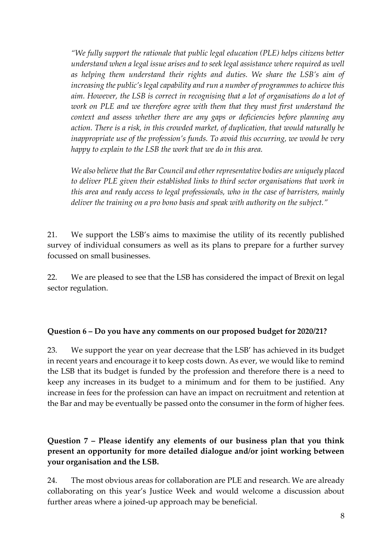*"We fully support the rationale that public legal education (PLE) helps citizens better understand when a legal issue arises and to seek legal assistance where required as well as helping them understand their rights and duties. We share the LSB's aim of increasing the public's legal capability and run a number of programmes to achieve this aim. However, the LSB is correct in recognising that a lot of organisations do a lot of work on PLE and we therefore agree with them that they must first understand the context and assess whether there are any gaps or deficiencies before planning any action. There is a risk, in this crowded market, of duplication, that would naturally be inappropriate use of the profession's funds. To avoid this occurring, we would be very happy to explain to the LSB the work that we do in this area.* 

*We also believe that the Bar Council and other representative bodies are uniquely placed to deliver PLE given their established links to third sector organisations that work in this area and ready access to legal professionals, who in the case of barristers, mainly deliver the training on a pro bono basis and speak with authority on the subject."*

21. We support the LSB's aims to maximise the utility of its recently published survey of individual consumers as well as its plans to prepare for a further survey focussed on small businesses.

22. We are pleased to see that the LSB has considered the impact of Brexit on legal sector regulation.

#### **Question 6 – Do you have any comments on our proposed budget for 2020/21?**

23. We support the year on year decrease that the LSB' has achieved in its budget in recent years and encourage it to keep costs down. As ever, we would like to remind the LSB that its budget is funded by the profession and therefore there is a need to keep any increases in its budget to a minimum and for them to be justified. Any increase in fees for the profession can have an impact on recruitment and retention at the Bar and may be eventually be passed onto the consumer in the form of higher fees.

**Question 7 – Please identify any elements of our business plan that you think present an opportunity for more detailed dialogue and/or joint working between your organisation and the LSB.** 

24. The most obvious areas for collaboration are PLE and research. We are already collaborating on this year's Justice Week and would welcome a discussion about further areas where a joined-up approach may be beneficial.